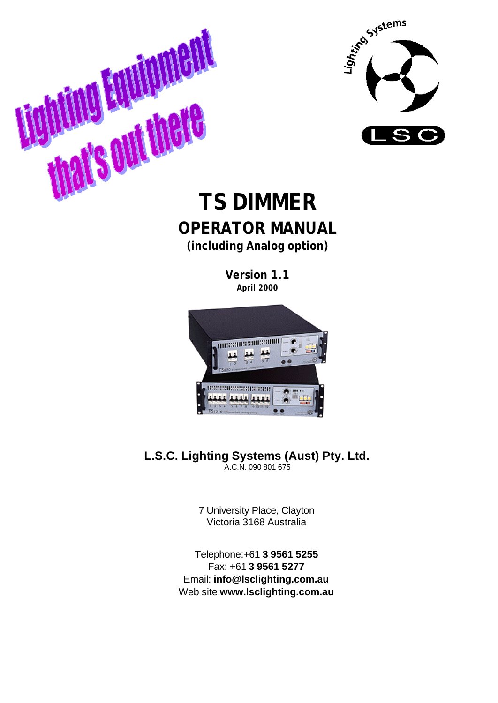

# **THE DIMMERRER TREATMER OPERATOR MANUAL (including Analog option)**

**Version 1.1 April 2000**



**L.S.C. Lighting Systems (Aust) Pty. Ltd.** A.C.N. 090 801 675

> 7 University Place, Clayton Victoria 3168 Australia

Telephone:+61 **3 9561 5255** Fax: +61 **3 9561 5277** Email: **info@lsclighting.com.au** Web site:**www.lsclighting.com.au**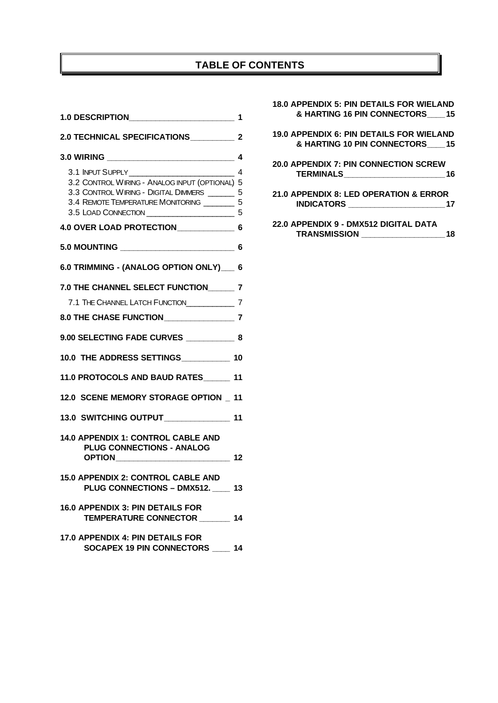# **TABLE OF CONTENTS**

| 1.0 DESCRIPTION________________________         | 1 |
|-------------------------------------------------|---|
| 2.0 TECHNICAL SPECIFICATIONS 2                  |   |
|                                                 |   |
|                                                 |   |
| 3.2 CONTROL WIRING - ANALOG INPUT (OPTIONAL) 5  |   |
| 3.3 CONTROL WIRING - DIGITAL DIMMERS _______ 5  |   |
| 3.4 REMOTE TEMPERATURE MONITORING _________ 5   |   |
|                                                 |   |
| 4.0 OVER LOAD PROTECTION 6                      |   |
|                                                 |   |
| 6.0 TRIMMING - (ANALOG OPTION ONLY) 6           |   |
| 7.0 THE CHANNEL SELECT FUNCTION______ 7         |   |
| 7.1 THE CHANNEL LATCH FUNCTION________________7 |   |
|                                                 |   |
| 9.00 SELECTING FADE CURVES 8                    |   |
| 10.0 THE ADDRESS SETTINGS___________ 10         |   |
| 11.0 PROTOCOLS AND BAUD RATES 11                |   |
| 12.0 SCENE MEMORY STORAGE OPTION 11             |   |
| 13.0 SWITCHING OUTPUT 11                        |   |
| <b>14.0 APPENDIX 1: CONTROL CABLE AND</b>       |   |
| <b>PLUG CONNECTIONS - ANALOG</b>                |   |
| <b>15.0 APPENDIX 2: CONTROL CABLE AND</b>       |   |
| PLUG CONNECTIONS - DMX512. 13                   |   |
| <b>16.0 APPENDIX 3: PIN DETAILS FOR</b>         |   |
| TEMPERATURE CONNECTOR _______ 14                |   |
| 17.0 APPENDIX 4: PIN DETAILS FOR                |   |
| SOCAPEX 19 PIN CONNECTORS ____ 14               |   |

| <b>18.0 APPENDIX 5: PIN DETAILS FOR WIELAND</b> |
|-------------------------------------------------|
| & HARTING 16 PIN CONNECTORS 15                  |
| 19.0 APPENDIX 6: PIN DETAILS FOR WIELAND        |
| & HARTING 10 PIN CONNECTORS 15                  |
| <b>20.0 APPENDIX 7: PIN CONNECTION SCREW</b>    |
| 16                                              |
| 21.0 APPENDIX 8: LED OPERATION & ERROR          |
| <b>INDICATORS</b> ___________________           |
| 22.0 APPENDIX 9 - DMX512 DIGITAL DATA           |

**TRANSMISSION \_\_\_\_\_\_\_\_\_\_\_\_\_\_\_\_\_\_\_18**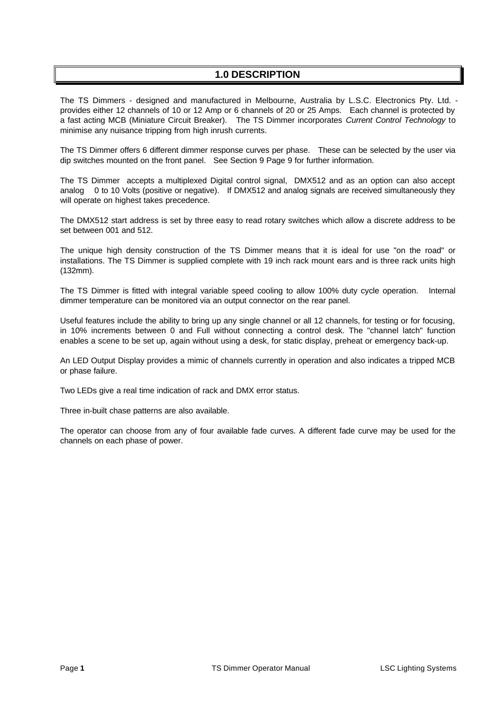# **1.0 DESCRIPTION**

The TS Dimmers - designed and manufactured in Melbourne, Australia by L.S.C. Electronics Pty. Ltd. provides either 12 channels of 10 or 12 Amp or 6 channels of 20 or 25 Amps. Each channel is protected by a fast acting MCB (Miniature Circuit Breaker). The TS Dimmer incorporates *Current Control Technology* to minimise any nuisance tripping from high inrush currents.

The TS Dimmer offers 6 different dimmer response curves per phase. These can be selected by the user via dip switches mounted on the front panel. See Section 9 Page 9 for further information.

The TS Dimmer accepts a multiplexed Digital control signal, DMX512 and as an option can also accept analog 0 to 10 Volts (positive or negative). If DMX512 and analog signals are received simultaneously they will operate on highest takes precedence.

The DMX512 start address is set by three easy to read rotary switches which allow a discrete address to be set between 001 and 512.

The unique high density construction of the TS Dimmer means that it is ideal for use "on the road" or installations. The TS Dimmer is supplied complete with 19 inch rack mount ears and is three rack units high (132mm).

The TS Dimmer is fitted with integral variable speed cooling to allow 100% duty cycle operation. Internal dimmer temperature can be monitored via an output connector on the rear panel.

Useful features include the ability to bring up any single channel or all 12 channels, for testing or for focusing, in 10% increments between 0 and Full without connecting a control desk. The "channel latch" function enables a scene to be set up, again without using a desk, for static display, preheat or emergency back-up.

An LED Output Display provides a mimic of channels currently in operation and also indicates a tripped MCB or phase failure.

Two LEDs give a real time indication of rack and DMX error status.

Three in-built chase patterns are also available.

The operator can choose from any of four available fade curves. A different fade curve may be used for the channels on each phase of power.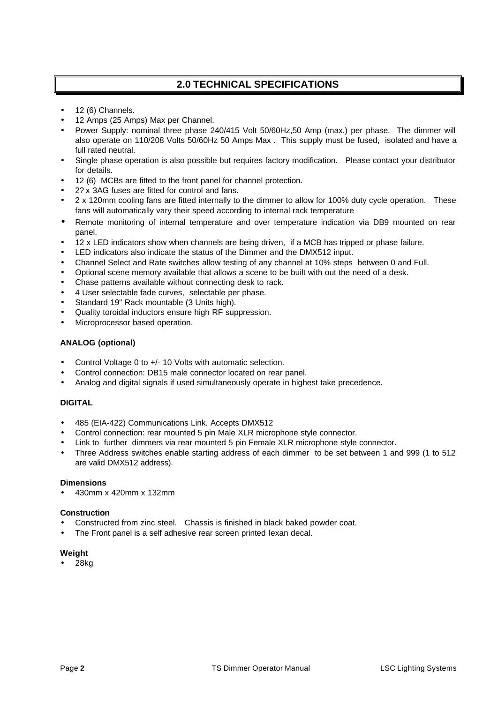# **2.0 TECHNICAL SPECIFICATIONS**

- 12 (6) Channels.
- 12 Amps (25 Amps) Max per Channel.
- Power Supply: nominal three phase 240/415 Volt 50/60Hz,50 Amp (max.) per phase. The dimmer will also operate on 110/208 Volts 50/60Hz 50 Amps Max . This supply must be fused, isolated and have a full rated neutral.
- Single phase operation is also possible but requires factory modification. Please contact your distributor for details.
- 12 (6) MCBs are fitted to the front panel for channel protection.
- 2? x 3AG fuses are fitted for control and fans.
- 2 x 120mm cooling fans are fitted internally to the dimmer to allow for 100% duty cycle operation. These fans will automatically vary their speed according to internal rack temperature
- Remote monitoring of internal temperature and over temperature indication via DB9 mounted on rear panel.
- 12 x LED indicators show when channels are being driven, if a MCB has tripped or phase failure.
- LED indicators also indicate the status of the Dimmer and the DMX512 input.
- Channel Select and Rate switches allow testing of any channel at 10% steps between 0 and Full.
- Optional scene memory available that allows a scene to be built with out the need of a desk.
- Chase patterns available without connecting desk to rack.
- 4 User selectable fade curves, selectable per phase.
- Standard 19" Rack mountable (3 Units high).
- Quality toroidal inductors ensure high RF suppression.
- Microprocessor based operation.

#### **ANALOG (optional)**

- Control Voltage 0 to +/- 10 Volts with automatic selection.
- Control connection: DB15 male connector located on rear panel.
- Analog and digital signals if used simultaneously operate in highest take precedence.

#### **DIGITAL**

- 485 (EIA-422) Communications Link. Accepts DMX512
- Control connection: rear mounted 5 pin Male XLR microphone style connector.
- Link to further dimmers via rear mounted 5 pin Female XLR microphone style connector.
- Three Address switches enable starting address of each dimmer to be set between 1 and 999 (1 to 512 are valid DMX512 address).

#### **Dimensions**

• 430mm x 420mm x 132mm

#### **Construction**

- Constructed from zinc steel. Chassis is finished in black baked powder coat.
- The Front panel is a self adhesive rear screen printed lexan decal.

#### **Weight**

• 28kg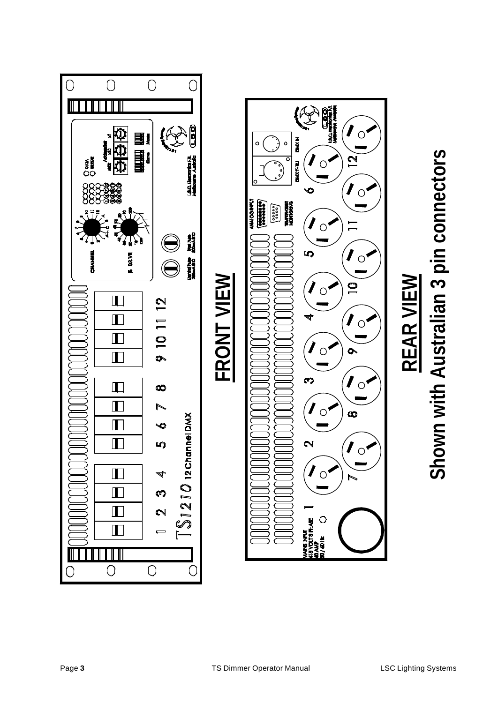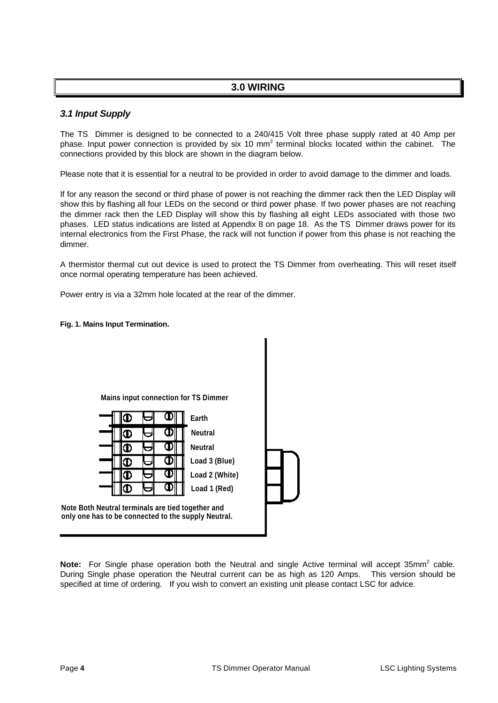# **3.0 WIRING**

#### *3.1 Input Supply*

The TS Dimmer is designed to be connected to a 240/415 Volt three phase supply rated at 40 Amp per phase. Input power connection is provided by six 10 mm<sup>2</sup> terminal blocks located within the cabinet. The connections provided by this block are shown in the diagram below.

Please note that it is essential for a neutral to be provided in order to avoid damage to the dimmer and loads.

If for any reason the second or third phase of power is not reaching the dimmer rack then the LED Display will show this by flashing all four LEDs on the second or third power phase. If two power phases are not reaching the dimmer rack then the LED Display will show this by flashing all eight LEDs associated with those two phases. LED status indications are listed at Appendix 8 on page 18. As the TS Dimmer draws power for its internal electronics from the First Phase, the rack will not function if power from this phase is not reaching the dimmer.

A thermistor thermal cut out device is used to protect the TS Dimmer from overheating. This will reset itself once normal operating temperature has been achieved.

Power entry is via a 32mm hole located at the rear of the dimmer.

#### **Fig. 1. Mains Input Termination.**



Note: For Single phase operation both the Neutral and single Active terminal will accept 35mm<sup>2</sup> cable. During Single phase operation the Neutral current can be as high as 120 Amps. This version should be specified at time of ordering. If you wish to convert an existing unit please contact LSC for advice.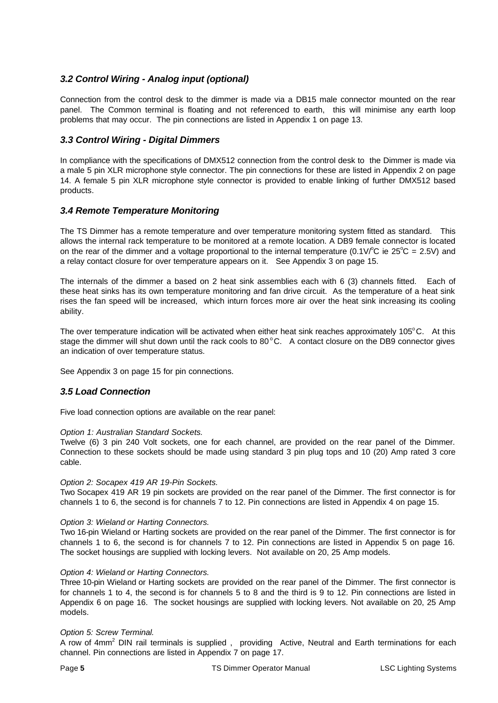#### *3.2 Control Wiring - Analog input (optional)*

Connection from the control desk to the dimmer is made via a DB15 male connector mounted on the rear panel. The Common terminal is floating and not referenced to earth, this will minimise any earth loop problems that may occur. The pin connections are listed in Appendix 1 on page 13.

#### *3.3 Control Wiring - Digital Dimmers*

In compliance with the specifications of DMX512 connection from the control desk to the Dimmer is made via a male 5 pin XLR microphone style connector. The pin connections for these are listed in Appendix 2 on page 14. A female 5 pin XLR microphone style connector is provided to enable linking of further DMX512 based products.

#### *3.4 Remote Temperature Monitoring*

The TS Dimmer has a remote temperature and over temperature monitoring system fitted as standard. This allows the internal rack temperature to be monitored at a remote location. A DB9 female connector is located on the rear of the dimmer and a voltage proportional to the internal temperature (0.1V/ $\degree$ C ie 25 $\degree$ C = 2.5V) and a relay contact closure for over temperature appears on it. See Appendix 3 on page 15.

The internals of the dimmer a based on 2 heat sink assemblies each with 6 (3) channels fitted. Each of these heat sinks has its own temperature monitoring and fan drive circuit. As the temperature of a heat sink rises the fan speed will be increased, which inturn forces more air over the heat sink increasing its cooling ability.

The over temperature indication will be activated when either heat sink reaches approximately  $105^{\circ}$ C. At this stage the dimmer will shut down until the rack cools to  $80^{\circ}$ C. A contact closure on the DB9 connector gives an indication of over temperature status.

See Appendix 3 on page 15 for pin connections.

#### *3.5 Load Connection*

Five load connection options are available on the rear panel:

#### *Option 1: Australian Standard Sockets.*

Twelve (6) 3 pin 240 Volt sockets, one for each channel, are provided on the rear panel of the Dimmer. Connection to these sockets should be made using standard 3 pin plug tops and 10 (20) Amp rated 3 core cable.

#### *Option 2: Socapex 419 AR 19-Pin Sockets.*

Two Socapex 419 AR 19 pin sockets are provided on the rear panel of the Dimmer. The first connector is for channels 1 to 6, the second is for channels 7 to 12. Pin connections are listed in Appendix 4 on page 15.

#### *Option 3: Wieland or Harting Connectors.*

Two 16-pin Wieland or Harting sockets are provided on the rear panel of the Dimmer. The first connector is for channels 1 to 6, the second is for channels 7 to 12. Pin connections are listed in Appendix 5 on page 16. The socket housings are supplied with locking levers. Not available on 20, 25 Amp models.

#### *Option 4: Wieland or Harting Connectors.*

Three 10-pin Wieland or Harting sockets are provided on the rear panel of the Dimmer. The first connector is for channels 1 to 4, the second is for channels 5 to 8 and the third is 9 to 12. Pin connections are listed in Appendix 6 on page 16. The socket housings are supplied with locking levers. Not available on 20, 25 Amp models.

#### *Option 5: Screw Terminal.*

A row of 4mm<sup>2</sup> DIN rail terminals is supplied, providing Active, Neutral and Earth terminations for each channel. Pin connections are listed in Appendix 7 on page 17.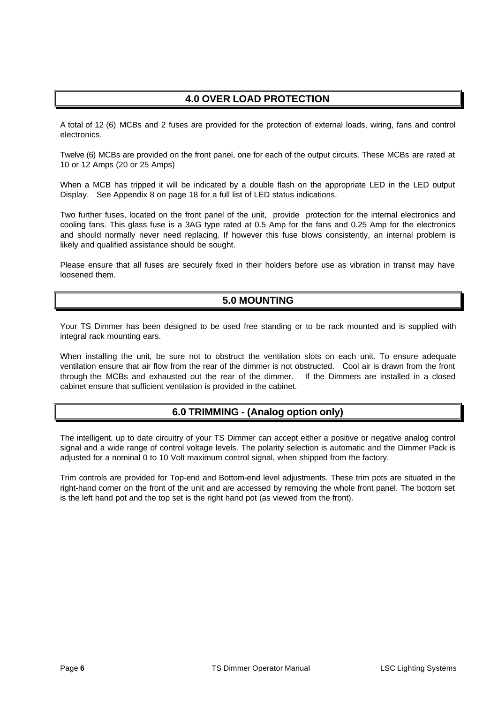# **4.0 OVER LOAD PROTECTION**

A total of 12 (6) MCBs and 2 fuses are provided for the protection of external loads, wiring, fans and control electronics.

Twelve (6) MCBs are provided on the front panel, one for each of the output circuits. These MCBs are rated at 10 or 12 Amps (20 or 25 Amps)

When a MCB has tripped it will be indicated by a double flash on the appropriate LED in the LED output Display. See Appendix 8 on page 18 for a full list of LED status indications.

Two further fuses, located on the front panel of the unit, provide protection for the internal electronics and cooling fans. This glass fuse is a 3AG type rated at 0.5 Amp for the fans and 0.25 Amp for the electronics and should normally never need replacing. If however this fuse blows consistently, an internal problem is likely and qualified assistance should be sought.

Please ensure that all fuses are securely fixed in their holders before use as vibration in transit may have loosened them.

# **5.0 MOUNTING**

Your TS Dimmer has been designed to be used free standing or to be rack mounted and is supplied with integral rack mounting ears.

When installing the unit, be sure not to obstruct the ventilation slots on each unit. To ensure adequate ventilation ensure that air flow from the rear of the dimmer is not obstructed. Cool air is drawn from the front through the MCBs and exhausted out the rear of the dimmer. If the Dimmers are installed in a closed cabinet ensure that sufficient ventilation is provided in the cabinet.

# **6.0 TRIMMING - (Analog option only)**

The intelligent, up to date circuitry of your TS Dimmer can accept either a positive or negative analog control signal and a wide range of control voltage levels. The polarity selection is automatic and the Dimmer Pack is adjusted for a nominal 0 to 10 Volt maximum control signal, when shipped from the factory.

Trim controls are provided for Top-end and Bottom-end level adjustments. These trim pots are situated in the right-hand corner on the front of the unit and are accessed by removing the whole front panel. The bottom set is the left hand pot and the top set is the right hand pot (as viewed from the front).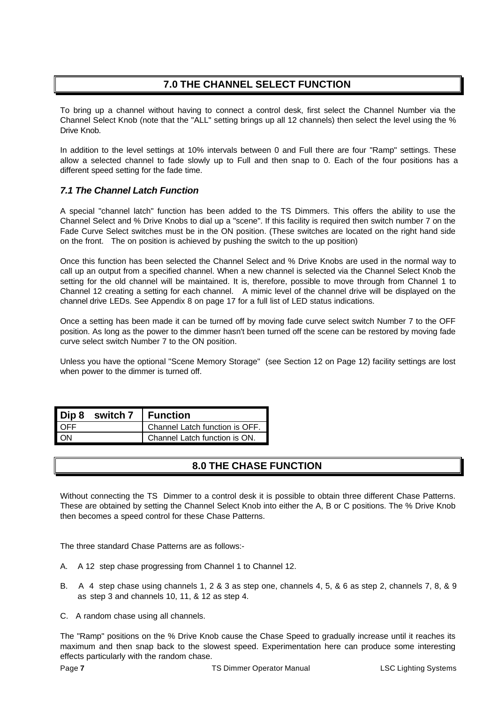# **7.0 THE CHANNEL SELECT FUNCTION**

To bring up a channel without having to connect a control desk, first select the Channel Number via the Channel Select Knob (note that the "ALL" setting brings up all 12 channels) then select the level using the % Drive Knob.

In addition to the level settings at 10% intervals between 0 and Full there are four "Ramp" settings. These allow a selected channel to fade slowly up to Full and then snap to 0. Each of the four positions has a different speed setting for the fade time.

#### *7.1 The Channel Latch Function*

A special "channel latch" function has been added to the TS Dimmers. This offers the ability to use the Channel Select and % Drive Knobs to dial up a "scene". If this facility is required then switch number 7 on the Fade Curve Select switches must be in the ON position. (These switches are located on the right hand side on the front. The on position is achieved by pushing the switch to the up position)

Once this function has been selected the Channel Select and % Drive Knobs are used in the normal way to call up an output from a specified channel. When a new channel is selected via the Channel Select Knob the setting for the old channel will be maintained. It is, therefore, possible to move through from Channel 1 to Channel 12 creating a setting for each channel. A mimic level of the channel drive will be displayed on the channel drive LEDs. See Appendix 8 on page 17 for a full list of LED status indications.

Once a setting has been made it can be turned off by moving fade curve select switch Number 7 to the OFF position. As long as the power to the dimmer hasn't been turned off the scene can be restored by moving fade curve select switch Number 7 to the ON position.

Unless you have the optional "Scene Memory Storage" (see Section 12 on Page 12) facility settings are lost when power to the dimmer is turned off.

|            | Dip 8 switch 7   Function |                                |
|------------|---------------------------|--------------------------------|
| <b>OFF</b> |                           | Channel Latch function is OFF. |
| . ON       |                           | Channel Latch function is ON.  |

# **8.0 THE CHASE FUNCTION**

Without connecting the TS Dimmer to a control desk it is possible to obtain three different Chase Patterns. These are obtained by setting the Channel Select Knob into either the A, B or C positions. The % Drive Knob then becomes a speed control for these Chase Patterns.

The three standard Chase Patterns are as follows:-

- A. A 12 step chase progressing from Channel 1 to Channel 12.
- B. A 4 step chase using channels 1, 2 & 3 as step one, channels 4, 5, & 6 as step 2, channels 7, 8, & 9 as step 3 and channels 10, 11, & 12 as step 4.
- C. A random chase using all channels.

The "Ramp" positions on the % Drive Knob cause the Chase Speed to gradually increase until it reaches its maximum and then snap back to the slowest speed. Experimentation here can produce some interesting effects particularly with the random chase.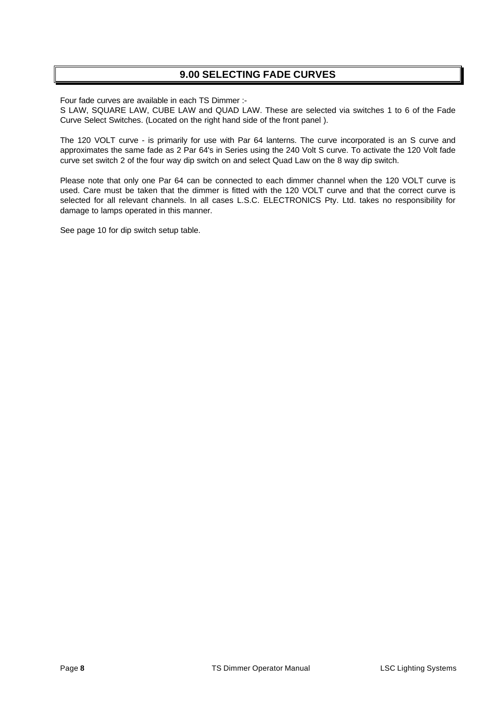# **9.00 SELECTING FADE CURVES**

Four fade curves are available in each TS Dimmer :-

S LAW, SQUARE LAW, CUBE LAW and QUAD LAW. These are selected via switches 1 to 6 of the Fade Curve Select Switches. (Located on the right hand side of the front panel ).

The 120 VOLT curve - is primarily for use with Par 64 lanterns. The curve incorporated is an S curve and approximates the same fade as 2 Par 64's in Series using the 240 Volt S curve. To activate the 120 Volt fade curve set switch 2 of the four way dip switch on and select Quad Law on the 8 way dip switch.

Please note that only one Par 64 can be connected to each dimmer channel when the 120 VOLT curve is used. Care must be taken that the dimmer is fitted with the 120 VOLT curve and that the correct curve is selected for all relevant channels. In all cases L.S.C. ELECTRONICS Pty. Ltd. takes no responsibility for damage to lamps operated in this manner.

See page 10 for dip switch setup table.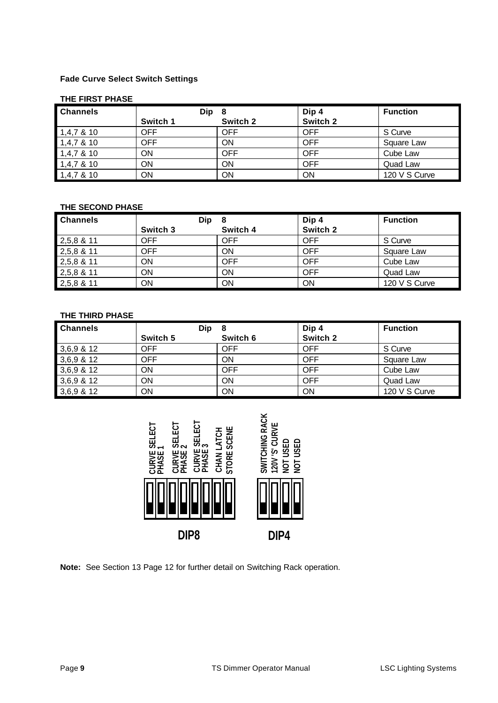#### **Fade Curve Select Switch Settings**

#### **THE FIRST PHASE**

| <b>Channels</b> | Dip        | - 8        | Dip 4      | <b>Function</b> |
|-----------------|------------|------------|------------|-----------------|
|                 | Switch 1   | Switch 2   | Switch 2   |                 |
| $1,4,7$ & 10    | <b>OFF</b> | <b>OFF</b> | <b>OFF</b> | S Curve         |
| $1,4,7$ & 10    | <b>OFF</b> | ON         | <b>OFF</b> | Square Law      |
| $1,4,7$ & 10    | ON         | <b>OFF</b> | <b>OFF</b> | Cube Law        |
| $1,4,7$ & 10    | <b>ON</b>  | ΟN         | <b>OFF</b> | Quad Law        |
| $1,4,7$ & 10    | ΟN         | ΟN         | ON         | 120 V S Curve   |

#### **THE SECOND PHASE**

| <b>Channels</b> | <b>Dip</b> | 8          | Dip 4      | <b>Function</b> |
|-----------------|------------|------------|------------|-----------------|
|                 | Switch 3   | Switch 4   | Switch 2   |                 |
| $2,5,8$ & 11    | <b>OFF</b> | <b>OFF</b> | <b>OFF</b> | S Curve         |
| 2,5,8 & 11      | <b>OFF</b> | ON         | OFF        | Square Law      |
| 2,5,8 & 11      | ON         | <b>OFF</b> | <b>OFF</b> | Cube Law        |
| 2,5,8 & 11      | ON         | ΟN         | <b>OFF</b> | Quad Law        |
| 2,5,8 & 11      | ON         | ΟN         | ON         | 120 V S Curve   |

#### **THE THIRD PHASE**

| <b>Channels</b> | <b>Dip</b> |            | Dip 4      | <b>Function</b> |
|-----------------|------------|------------|------------|-----------------|
|                 | Switch 5   | Switch 6   | Switch 2   |                 |
| $3,6,9$ & 12    | OFF        | <b>OFF</b> | <b>OFF</b> | S Curve         |
| $3,6,9$ & 12    | <b>OFF</b> | ΟN         | <b>OFF</b> | Square Law      |
| $3,6,9$ & 12    | <b>ON</b>  | <b>OFF</b> | <b>OFF</b> | Cube Law        |
| $3,6,9$ & 12    | <b>ON</b>  | ΟN         | <b>OFF</b> | Quad Law        |
| $3,6,9$ & 12    | ON         | ΟN         | ON         | 120 V S Curve   |



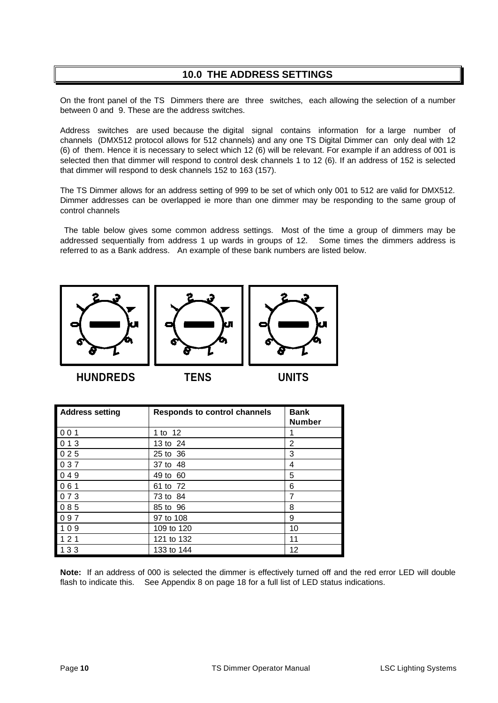# **10.0 THE ADDRESS SETTINGS**

On the front panel of the TS Dimmers there are three switches, each allowing the selection of a number between 0 and 9. These are the address switches.

Address switches are used because the digital signal contains information for a large number of channels (DMX512 protocol allows for 512 channels) and any one TS Digital Dimmer can only deal with 12 (6) of them. Hence it is necessary to select which 12 (6) will be relevant. For example if an address of 001 is selected then that dimmer will respond to control desk channels 1 to 12 (6). If an address of 152 is selected that dimmer will respond to desk channels 152 to 163 (157).

The TS Dimmer allows for an address setting of 999 to be set of which only 001 to 512 are valid for DMX512. Dimmer addresses can be overlapped ie more than one dimmer may be responding to the same group of control channels

 The table below gives some common address settings. Most of the time a group of dimmers may be addressed sequentially from address 1 up wards in groups of 12. Some times the dimmers address is referred to as a Bank address. An example of these bank numbers are listed below.







**HUNDREDS TENS UNITS**

| <b>Address setting</b> | <b>Responds to control channels</b> | <b>Bank</b><br><b>Number</b> |
|------------------------|-------------------------------------|------------------------------|
| 001                    | 1 to 12                             |                              |
| 013                    | 13 to 24                            | 2                            |
| 025                    | 25 to 36                            | 3                            |
| 037                    | 37 to 48                            | 4                            |
| 049                    | 49 to 60                            | 5                            |
| $061$                  | 61 to 72                            | 6                            |
| 073                    | 73 to 84                            | 7                            |
| 085                    | 85 to 96                            | 8                            |
| 097                    | 97 to 108                           | 9                            |
| 109                    | 109 to 120                          | 10                           |
| 121                    | 121 to 132                          | 11                           |
| 133                    | 133 to 144                          | 12                           |

**Note:** If an address of 000 is selected the dimmer is effectively turned off and the red error LED will double flash to indicate this. See Appendix 8 on page 18 for a full list of LED status indications.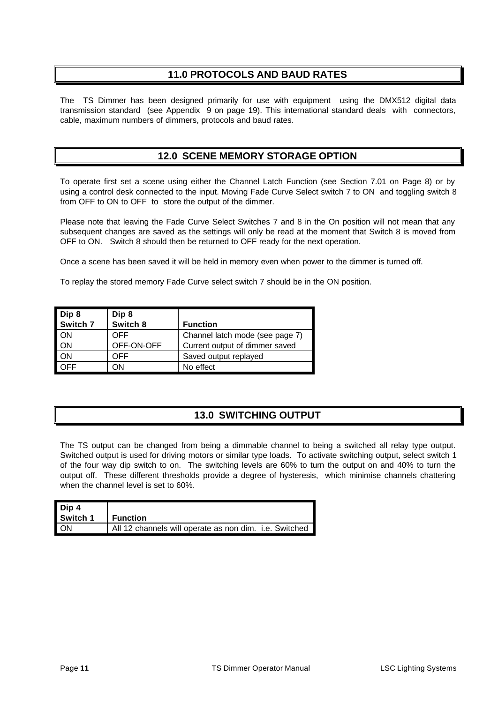# **11.0 PROTOCOLS AND BAUD RATES**

The TS Dimmer has been designed primarily for use with equipment using the DMX512 digital data transmission standard (see Appendix 9 on page 19). This international standard deals with connectors, cable, maximum numbers of dimmers, protocols and baud rates.

# **12.0 SCENE MEMORY STORAGE OPTION**

To operate first set a scene using either the Channel Latch Function (see Section 7.01 on Page 8) or by using a control desk connected to the input. Moving Fade Curve Select switch 7 to ON and toggling switch 8 from OFF to ON to OFF to store the output of the dimmer.

Please note that leaving the Fade Curve Select Switches 7 and 8 in the On position will not mean that any subsequent changes are saved as the settings will only be read at the moment that Switch 8 is moved from OFF to ON. Switch 8 should then be returned to OFF ready for the next operation.

Once a scene has been saved it will be held in memory even when power to the dimmer is turned off.

To replay the stored memory Fade Curve select switch 7 should be in the ON position.

| Dip 8     | Dip 8      |                                 |
|-----------|------------|---------------------------------|
| Switch 7  | Switch 8   | <b>Function</b>                 |
| <b>ON</b> | OFF        | Channel latch mode (see page 7) |
| <b>ON</b> | OFF-ON-OFF | Current output of dimmer saved  |
| <b>ON</b> | OFF        | Saved output replayed           |
| ገFF       | ЭN         | No effect                       |

# **13.0 SWITCHING OUTPUT**

The TS output can be changed from being a dimmable channel to being a switched all relay type output. Switched output is used for driving motors or similar type loads. To activate switching output, select switch 1 of the four way dip switch to on. The switching levels are 60% to turn the output on and 40% to turn the output off. These different thresholds provide a degree of hysteresis, which minimise channels chattering when the channel level is set to 60%.

| Dip 4     |                                                        |
|-----------|--------------------------------------------------------|
| Switch 1  | <b>Function</b>                                        |
| <b>ON</b> | All 12 channels will operate as non dim. i.e. Switched |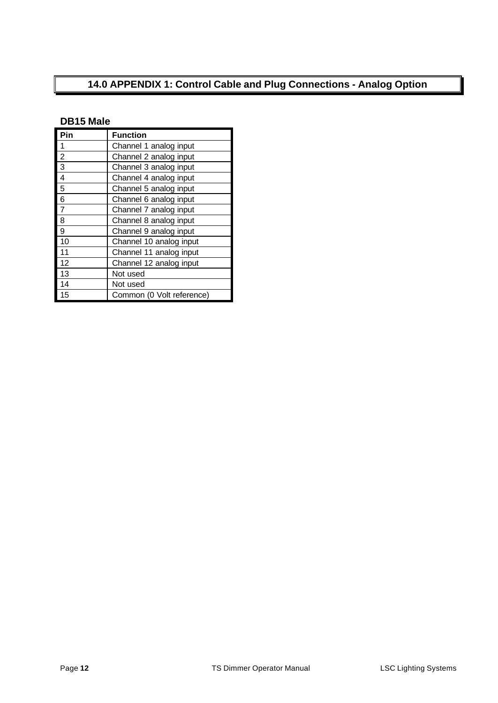# **14.0 APPENDIX 1: Control Cable and Plug Connections - Analog Option**

# **DB15 Male**

| Pin            | <b>Function</b>           |
|----------------|---------------------------|
| 1              | Channel 1 analog input    |
| $\overline{2}$ | Channel 2 analog input    |
| 3              | Channel 3 analog input    |
| 4              | Channel 4 analog input    |
| 5              | Channel 5 analog input    |
| 6              | Channel 6 analog input    |
| 7              | Channel 7 analog input    |
| 8              | Channel 8 analog input    |
| 9              | Channel 9 analog input    |
| 10             | Channel 10 analog input   |
| 11             | Channel 11 analog input   |
| 12             | Channel 12 analog input   |
| 13             | Not used                  |
| 14             | Not used                  |
| 15             | Common (0 Volt reference) |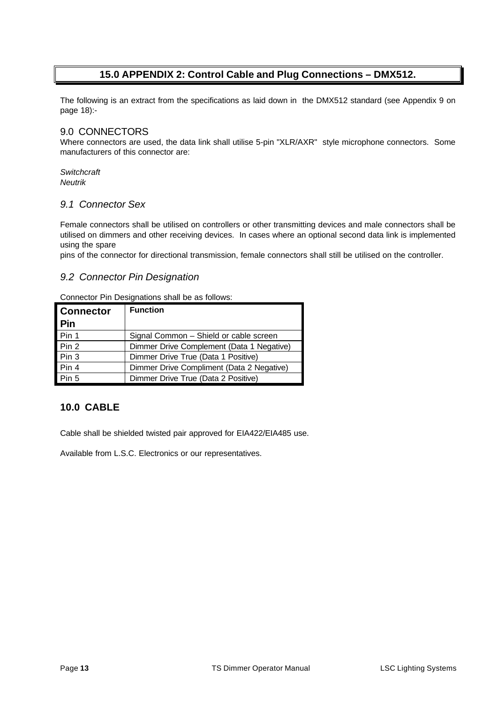# **15.0 APPENDIX 2: Control Cable and Plug Connections – DMX512.**

The following is an extract from the specifications as laid down in the DMX512 standard (see Appendix 9 on page 18):-

#### 9.0 CONNECTORS

Where connectors are used, the data link shall utilise 5-pin "XLR/AXR" style microphone connectors. Some manufacturers of this connector are:

#### *Switchcraft Neutrik*

#### *9.1 Connector Sex*

Female connectors shall be utilised on controllers or other transmitting devices and male connectors shall be utilised on dimmers and other receiving devices. In cases where an optional second data link is implemented using the spare

pins of the connector for directional transmission, female connectors shall still be utilised on the controller.

#### *9.2 Connector Pin Designation*

Connector Pin Designations shall be as follows:

| <b>Connector</b> | <b>Function</b>                           |
|------------------|-------------------------------------------|
| <b>Pin</b>       |                                           |
| Pin 1            | Signal Common - Shield or cable screen    |
| Pin 2            | Dimmer Drive Complement (Data 1 Negative) |
| Pin 3            | Dimmer Drive True (Data 1 Positive)       |
| Pin 4            | Dimmer Drive Compliment (Data 2 Negative) |
| Pin 5            | Dimmer Drive True (Data 2 Positive)       |

# **10.0 CABLE**

Cable shall be shielded twisted pair approved for EIA422/EIA485 use.

Available from L.S.C. Electronics or our representatives.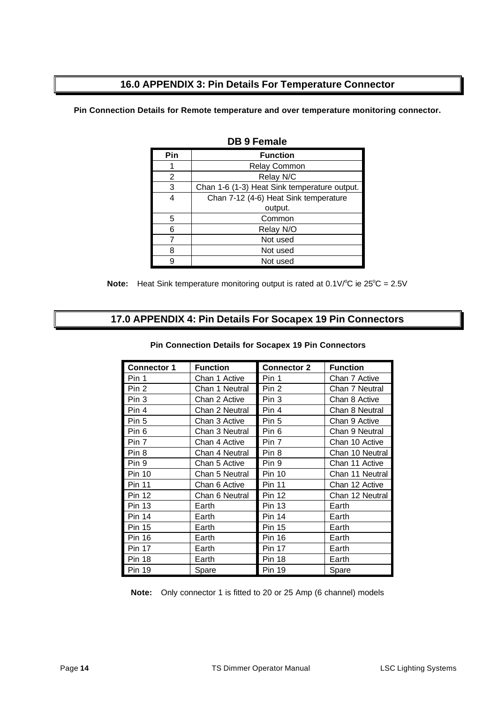# **16.0 APPENDIX 3: Pin Details For Temperature Connector**

**Pin Connection Details for Remote temperature and over temperature monitoring connector.**

| Pin | <b>Function</b>                              |
|-----|----------------------------------------------|
|     | <b>Relay Common</b>                          |
| 2   | Relay N/C                                    |
| 3   | Chan 1-6 (1-3) Heat Sink temperature output. |
| 4   | Chan 7-12 (4-6) Heat Sink temperature        |
|     | output.                                      |
| 5   | Common                                       |
| ี่ค | Relay N/O                                    |
|     | Not used                                     |
|     | Not used                                     |
|     | Not used                                     |

**DB 9 Female**

**Note:** Heat Sink temperature monitoring output is rated at 0.1V/°C ie 25°C = 2.5V

# **17.0 APPENDIX 4: Pin Details For Socapex 19 Pin Connectors**

| <b>Connector 1</b> | <b>Function</b> | <b>Connector 2</b> | <b>Function</b> |
|--------------------|-----------------|--------------------|-----------------|
| Pin 1              | Chan 1 Active   | Pin 1              | Chan 7 Active   |
| Pin 2              | Chan 1 Neutral  | Pin 2              | Chan 7 Neutral  |
| Pin 3              | Chan 2 Active   | Pin 3              | Chan 8 Active   |
| Pin 4              | Chan 2 Neutral  | Pin 4              | Chan 8 Neutral  |
| Pin 5              | Chan 3 Active   | Pin 5              | Chan 9 Active   |
| Pin 6              | Chan 3 Neutral  | Pin 6              | Chan 9 Neutral  |
| Pin 7              | Chan 4 Active   | Pin 7              | Chan 10 Active  |
| Pin 8              | Chan 4 Neutral  | Pin 8              | Chan 10 Neutral |
| Pin 9              | Chan 5 Active   | Pin 9              | Chan 11 Active  |
| <b>Pin 10</b>      | Chan 5 Neutral  | <b>Pin 10</b>      | Chan 11 Neutral |
| <b>Pin 11</b>      | Chan 6 Active   | <b>Pin 11</b>      | Chan 12 Active  |
| <b>Pin 12</b>      | Chan 6 Neutral  | <b>Pin 12</b>      | Chan 12 Neutral |
| <b>Pin 13</b>      | Earth           | Pin 13             | Earth           |
| <b>Pin 14</b>      | Earth           | Pin 14             | Earth           |
| <b>Pin 15</b>      | Earth           | <b>Pin 15</b>      | Earth           |
| <b>Pin 16</b>      | Earth           | <b>Pin 16</b>      | Earth           |
| <b>Pin 17</b>      | Earth           | <b>Pin 17</b>      | Earth           |
| <b>Pin 18</b>      | Earth           | <b>Pin 18</b>      | Earth           |
| <b>Pin 19</b>      | Spare           | Pin 19             | Spare           |

**Pin Connection Details for Socapex 19 Pin Connectors**

**Note:** Only connector 1 is fitted to 20 or 25 Amp (6 channel) models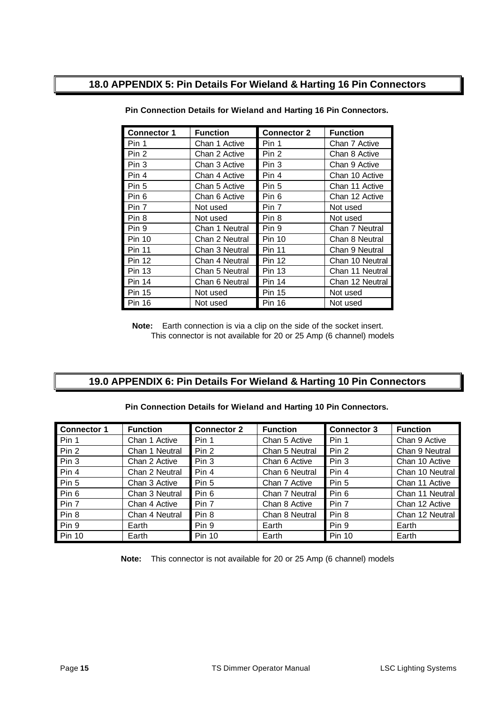# **18.0 APPENDIX 5: Pin Details For Wieland & Harting 16 Pin Connectors**

| <b>Connector 1</b> | <b>Function</b> | <b>Connector 2</b> | <b>Function</b> |
|--------------------|-----------------|--------------------|-----------------|
| Pin 1              | Chan 1 Active   | Pin 1              | Chan 7 Active   |
| Pin 2              | Chan 2 Active   | Pin 2              | Chan 8 Active   |
| Pin 3              | Chan 3 Active   | Pin 3              | Chan 9 Active   |
| Pin 4              | Chan 4 Active   | Pin 4              | Chan 10 Active  |
| Pin 5              | Chan 5 Active   | Pin 5              | Chan 11 Active  |
| Pin 6              | Chan 6 Active   | Pin 6              | Chan 12 Active  |
| Pin 7              | Not used        | Pin 7              | Not used        |
| Pin 8              | Not used        | Pin 8              | Not used        |
| Pin 9              | Chan 1 Neutral  | Pin 9              | Chan 7 Neutral  |
| Pin 10             | Chan 2 Neutral  | <b>Pin 10</b>      | Chan 8 Neutral  |
| Pin 11             | Chan 3 Neutral  | <b>Pin 11</b>      | Chan 9 Neutral  |
| <b>Pin 12</b>      | Chan 4 Neutral  | <b>Pin 12</b>      | Chan 10 Neutral |
| <b>Pin 13</b>      | Chan 5 Neutral  | <b>Pin 13</b>      | Chan 11 Neutral |
| <b>Pin 14</b>      | Chan 6 Neutral  | <b>Pin 14</b>      | Chan 12 Neutral |
| <b>Pin 15</b>      | Not used        | <b>Pin 15</b>      | Not used        |
| <b>Pin 16</b>      | Not used        | <b>Pin 16</b>      | Not used        |

**Pin Connection Details for Wieland and Harting 16 Pin Connectors.**

**Note:** Earth connection is via a clip on the side of the socket insert. This connector is not available for 20 or 25 Amp (6 channel) models

# **19.0 APPENDIX 6: Pin Details For Wieland & Harting 10 Pin Connectors**

#### **Pin Connection Details for Wieland and Harting 10 Pin Connectors.**

| Connector 1 | <b>Function</b> | <b>Connector 2</b> | <b>Function</b> | <b>Connector 3</b> | <b>Function</b> |
|-------------|-----------------|--------------------|-----------------|--------------------|-----------------|
| Pin 1       | Chan 1 Active   | Pin 1              | Chan 5 Active   | Pin 1              | Chan 9 Active   |
| Pin 2       | Chan 1 Neutral  | Pin 2              | Chan 5 Neutral  | Pin 2              | Chan 9 Neutral  |
| $Pi$ Pin 3  | Chan 2 Active   | Pin 3              | Chan 6 Active   | Pin 3              | Chan 10 Active  |
| Pin 4       | Chan 2 Neutral  | Pin 4              | Chan 6 Neutral  | Pin 4              | Chan 10 Neutral |
| Pin 5       | Chan 3 Active   | Pin 5              | Chan 7 Active   | Pin 5              | Chan 11 Active  |
| Pin 6       | Chan 3 Neutral  | Pin 6              | Chan 7 Neutral  | Pin 6              | Chan 11 Neutral |
| Pin 7       | Chan 4 Active   | Pin 7              | Chan 8 Active   | Pin 7              | Chan 12 Active  |
| Pin 8       | Chan 4 Neutral  | Pin 8              | Chan 8 Neutral  | Pin 8              | Chan 12 Neutral |
| Pin 9       | Earth           | Pin 9              | Earth           | Pin 9              | Earth           |
| Pin 10      | Earth           | <b>Pin 10</b>      | Earth           | <b>Pin 10</b>      | Earth           |

**Note:** This connector is not available for 20 or 25 Amp (6 channel) models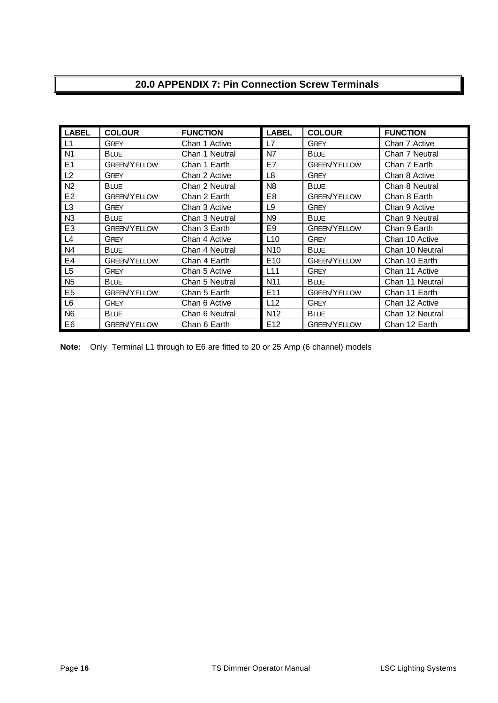# **20.0 APPENDIX 7: Pin Connection Screw Terminals**

| <b>LABEL</b>   | <b>COLOUR</b>       | <b>FUNCTION</b> | <b>LABEL</b>    | <b>COLOUR</b>       | <b>FUNCTION</b> |
|----------------|---------------------|-----------------|-----------------|---------------------|-----------------|
| L1             | <b>GREY</b>         | Chan 1 Active   | L7              | <b>GREY</b>         | Chan 7 Active   |
| N <sub>1</sub> | <b>BLUE</b>         | Chan 1 Neutral  | N7              | <b>BLUE</b>         | Chan 7 Neutral  |
| E <sub>1</sub> | <b>GREEN/YELLOW</b> | Chan 1 Earth    | E7              | <b>GREEN YELLOW</b> | Chan 7 Earth    |
| L2             | GREY                | Chan 2 Active   | L8              | <b>GREY</b>         | Chan 8 Active   |
| N <sub>2</sub> | <b>BLUE</b>         | Chan 2 Neutral  | N <sub>8</sub>  | <b>BLUE</b>         | Chan 8 Neutral  |
| E <sub>2</sub> | <b>GREEN YELLOW</b> | Chan 2 Earth    | E8              | <b>GREEN YELLOW</b> | Chan 8 Earth    |
| L <sub>3</sub> | <b>GREY</b>         | Chan 3 Active   | L9              | <b>GREY</b>         | Chan 9 Active   |
| N <sub>3</sub> | <b>BLUE</b>         | Chan 3 Neutral  | N <sub>9</sub>  | <b>BLUE</b>         | Chan 9 Neutral  |
| E <sub>3</sub> | <b>GREEN/YELLOW</b> | Chan 3 Earth    | E <sub>9</sub>  | <b>GREEN/YELLOW</b> | Chan 9 Earth    |
| L4             | <b>GREY</b>         | Chan 4 Active   | L <sub>10</sub> | <b>GREY</b>         | Chan 10 Active  |
| N <sub>4</sub> | <b>BLUE</b>         | Chan 4 Neutral  | N <sub>10</sub> | <b>BLUE</b>         | Chan 10 Neutral |
| E4             | <b>GREEN/YELLOW</b> | Chan 4 Earth    | E <sub>10</sub> | <b>GREEN/YELLOW</b> | Chan 10 Earth   |
| L <sub>5</sub> | <b>GREY</b>         | Chan 5 Active   | L11             | <b>GREY</b>         | Chan 11 Active  |
| N <sub>5</sub> | <b>BLUE</b>         | Chan 5 Neutral  | N <sub>11</sub> | <b>BLUE</b>         | Chan 11 Neutral |
| E <sub>5</sub> | <b>GREEN/YELLOW</b> | Chan 5 Earth    | E <sub>11</sub> | <b>GREEN/YELLOW</b> | Chan 11 Earth   |
| L6             | <b>GREY</b>         | Chan 6 Active   | L12             | <b>GREY</b>         | Chan 12 Active  |
| N <sub>6</sub> | <b>BLUE</b>         | Chan 6 Neutral  | N <sub>12</sub> | <b>BLUE</b>         | Chan 12 Neutral |
| E <sub>6</sub> | <b>GREEN/YELLOW</b> | Chan 6 Earth    | E <sub>12</sub> | <b>GREEN YELLOW</b> | Chan 12 Earth   |

**Note:** Only Terminal L1 through to E6 are fitted to 20 or 25 Amp (6 channel) models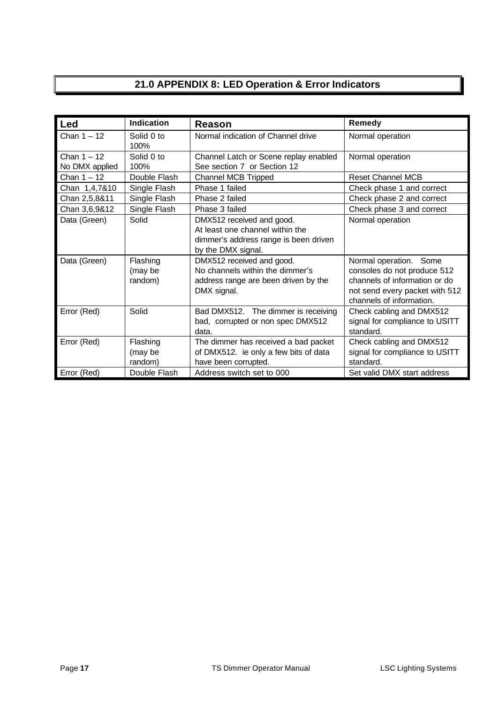# **21.0 APPENDIX 8: LED Operation & Error Indicators**

| Led                             | Indication                     | Reason                                                                                                                      | Remedy                                                                                                                                               |
|---------------------------------|--------------------------------|-----------------------------------------------------------------------------------------------------------------------------|------------------------------------------------------------------------------------------------------------------------------------------------------|
| Chan $1 - 12$                   | Solid 0 to<br>100%             | Normal indication of Channel drive                                                                                          | Normal operation                                                                                                                                     |
| Chan $1 - 12$<br>No DMX applied | Solid 0 to<br>100%             | Channel Latch or Scene replay enabled<br>See section 7 or Section 12                                                        | Normal operation                                                                                                                                     |
| Chan $1 - 12$                   | Double Flash                   | <b>Channel MCB Tripped</b>                                                                                                  | <b>Reset Channel MCB</b>                                                                                                                             |
| Chan 1,4,7&10                   | Single Flash                   | Phase 1 failed                                                                                                              | Check phase 1 and correct                                                                                                                            |
| Chan 2,5,8&11                   | Single Flash                   | Phase 2 failed                                                                                                              | Check phase 2 and correct                                                                                                                            |
| Chan 3,6,9&12                   | Single Flash                   | Phase 3 failed                                                                                                              | Check phase 3 and correct                                                                                                                            |
| Data (Green)                    | Solid                          | DMX512 received and good.<br>At least one channel within the<br>dimmer's address range is been driven<br>by the DMX signal. | Normal operation                                                                                                                                     |
| Data (Green)                    | Flashing<br>(may be<br>random) | DMX512 received and good.<br>No channels within the dimmer's<br>address range are been driven by the<br>DMX signal.         | Normal operation. Some<br>consoles do not produce 512<br>channels of information or do<br>not send every packet with 512<br>channels of information. |
| Error (Red)                     | Solid                          | Bad DMX512. The dimmer is receiving<br>bad, corrupted or non spec DMX512<br>data.                                           | Check cabling and DMX512<br>signal for compliance to USITT<br>standard.                                                                              |
| Error (Red)                     | Flashing<br>(may be<br>random) | The dimmer has received a bad packet<br>of DMX512. ie only a few bits of data<br>have been corrupted.                       | Check cabling and DMX512<br>signal for compliance to USITT<br>standard.                                                                              |
| Error (Red)                     | Double Flash                   | Address switch set to 000                                                                                                   | Set valid DMX start address                                                                                                                          |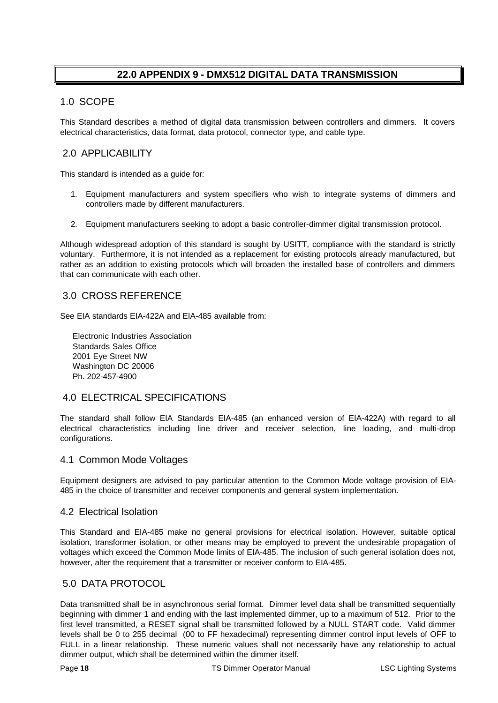# **22.0 APPENDIX 9 - DMX512 DIGITAL DATA TRANSMISSION**

# 1.0 SCOPE

This Standard describes a method of digital data transmission between controllers and dimmers. It covers electrical characteristics, data format, data protocol, connector type, and cable type.

## 2.0 APPLICABILITY

This standard is intended as a guide for:

- 1. Equipment manufacturers and system specifiers who wish to integrate systems of dimmers and controllers made by different manufacturers.
- 2. Equipment manufacturers seeking to adopt a basic controller-dimmer digital transmission protocol.

Although widespread adoption of this standard is sought by USITT, compliance with the standard is strictly voluntary. Furthermore, it is not intended as a replacement for existing protocols already manufactured, but rather as an addition to existing protocols which will broaden the installed base of controllers and dimmers that can communicate with each other.

## 3.0 CROSS REFERENCE

See EIA standards EIA-422A and EIA-485 available from:

 Electronic Industries Association Standards Sales Office 2001 Eye Street NW Washington DC 20006 Ph. 202-457-4900

# 4.0 ELECTRICAL SPECIFICATIONS

The standard shall follow EIA Standards EIA-485 (an enhanced version of EIA-422A) with regard to all electrical characteristics including line driver and receiver selection, line loading, and multi-drop configurations.

#### 4.1 Common Mode Voltages

Equipment designers are advised to pay particular attention to the Common Mode voltage provision of EIA-485 in the choice of transmitter and receiver components and general system implementation.

#### 4.2 Electrical Isolation

This Standard and EIA-485 make no general provisions for electrical isolation. However, suitable optical isolation, transformer isolation, or other means may be employed to prevent the undesirable propagation of voltages which exceed the Common Mode limits of EIA-485. The inclusion of such general isolation does not, however, alter the requirement that a transmitter or receiver conform to EIA-485.

#### 5.0 DATA PROTOCOL

Data transmitted shall be in asynchronous serial format. Dimmer level data shall be transmitted sequentially beginning with dimmer 1 and ending with the last implemented dimmer, up to a maximum of 512. Prior to the first level transmitted, a RESET signal shall be transmitted followed by a NULL START code. Valid dimmer levels shall be 0 to 255 decimal (00 to FF hexadecimal) representing dimmer control input levels of OFF to FULL in a linear relationship. These numeric values shall not necessarily have any relationship to actual dimmer output, which shall be determined within the dimmer itself.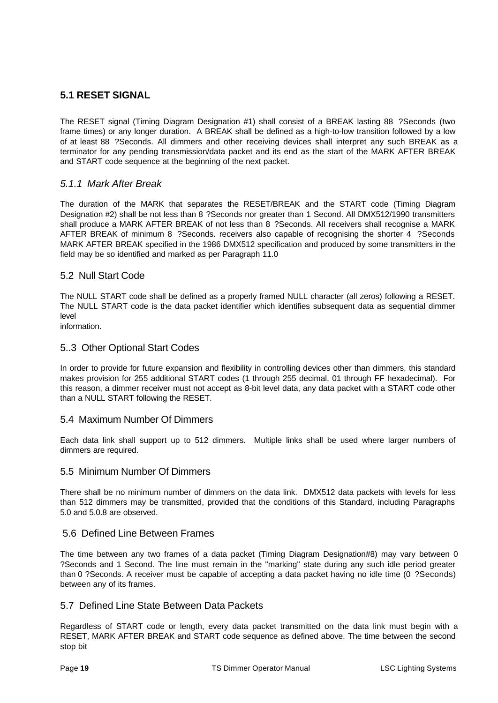# **5.1 RESET SIGNAL**

The RESET signal (Timing Diagram Designation #1) shall consist of a BREAK lasting 88 ?Seconds (two frame times) or any longer duration. A BREAK shall be defined as a high-to-low transition followed by a low of at least 88 ?Seconds. All dimmers and other receiving devices shall interpret any such BREAK as a terminator for any pending transmission/data packet and its end as the start of the MARK AFTER BREAK and START code sequence at the beginning of the next packet.

#### *5.1.1 Mark After Break*

The duration of the MARK that separates the RESET/BREAK and the START code (Timing Diagram Designation #2) shall be not less than 8 ?Seconds nor greater than 1 Second. All DMX512/1990 transmitters shall produce a MARK AFTER BREAK of not less than 8 ?Seconds. All receivers shall recognise a MARK AFTER BREAK of minimum 8 ?Seconds. receivers also capable of recognising the shorter 4 ?Seconds MARK AFTER BREAK specified in the 1986 DMX512 specification and produced by some transmitters in the field may be so identified and marked as per Paragraph 11.0

#### 5.2 Null Start Code

The NULL START code shall be defined as a properly framed NULL character (all zeros) following a RESET. The NULL START code is the data packet identifier which identifies subsequent data as sequential dimmer level

information.

#### 5..3 Other Optional Start Codes

In order to provide for future expansion and flexibility in controlling devices other than dimmers, this standard makes provision for 255 additional START codes (1 through 255 decimal, 01 through FF hexadecimal). For this reason, a dimmer receiver must not accept as 8-bit level data, any data packet with a START code other than a NULL START following the RESET.

#### 5.4 Maximum Number Of Dimmers

Each data link shall support up to 512 dimmers. Multiple links shall be used where larger numbers of dimmers are required.

#### 5.5 Minimum Number Of Dimmers

There shall be no minimum number of dimmers on the data link. DMX512 data packets with levels for less than 512 dimmers may be transmitted, provided that the conditions of this Standard, including Paragraphs 5.0 and 5.0.8 are observed.

#### 5.6 Defined Line Between Frames

The time between any two frames of a data packet (Timing Diagram Designation#8) may vary between 0 ?Seconds and 1 Second. The line must remain in the "marking" state during any such idle period greater than 0 ?Seconds. A receiver must be capable of accepting a data packet having no idle time (0 ?Seconds) between any of its frames.

#### 5.7 Defined Line State Between Data Packets

Regardless of START code or length, every data packet transmitted on the data link must begin with a RESET, MARK AFTER BREAK and START code sequence as defined above. The time between the second stop bit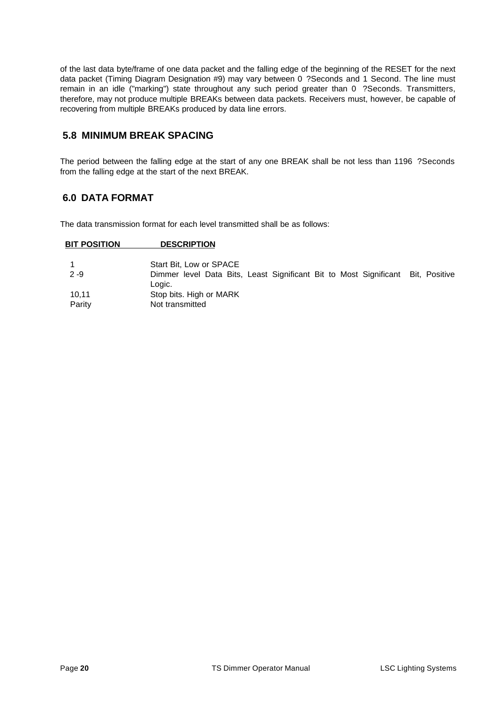of the last data byte/frame of one data packet and the falling edge of the beginning of the RESET for the next data packet (Timing Diagram Designation #9) may vary between 0 ?Seconds and 1 Second. The line must remain in an idle ("marking") state throughout any such period greater than 0 ?Seconds. Transmitters, therefore, may not produce multiple BREAKs between data packets. Receivers must, however, be capable of recovering from multiple BREAKs produced by data line errors.

# **5.8 MINIMUM BREAK SPACING**

The period between the falling edge at the start of any one BREAK shall be not less than 1196 ?Seconds from the falling edge at the start of the next BREAK.

# **6.0 DATA FORMAT**

The data transmission format for each level transmitted shall be as follows:

| <b>BIT POSITION</b> | <b>DESCRIPTION</b>                                                                        |  |  |  |  |
|---------------------|-------------------------------------------------------------------------------------------|--|--|--|--|
|                     | Start Bit. Low or SPACE                                                                   |  |  |  |  |
| $2 - 9$             | Dimmer level Data Bits, Least Significant Bit to Most Significant Bit, Positive<br>Logic. |  |  |  |  |
| 10.11               | Stop bits. High or MARK                                                                   |  |  |  |  |
| Parity              | Not transmitted                                                                           |  |  |  |  |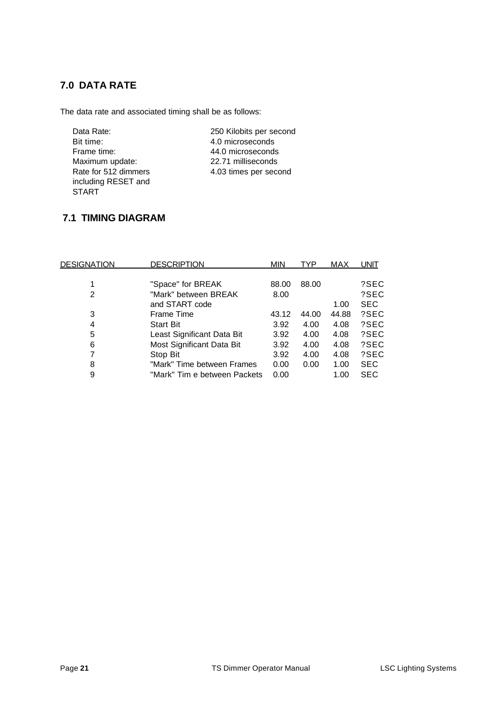# **7.0 DATA RATE**

The data rate and associated timing shall be as follows:

| Data Rate:   |                      |
|--------------|----------------------|
| Bit time:    |                      |
| Frame time:  |                      |
|              | Maximum update:      |
|              | Rate for 512 dimmers |
|              | including RESET and  |
| <b>START</b> |                      |

250 Kilobits per second 4.0 microseconds 44.0 microseconds 22.71 milliseconds 4.03 times per second

# **7.1 TIMING DIAGRAM**

| <u>DESIGNATION</u> | <b>DESCRIPTION</b>           | <b>MIN</b> | TYP   | MAX   | UNIT       |
|--------------------|------------------------------|------------|-------|-------|------------|
|                    |                              |            |       |       |            |
| 1                  | "Space" for BREAK            | 88.00      | 88.00 |       | ?SEC       |
| 2                  | "Mark" between BREAK         | 8.00       |       |       | ?SEC       |
|                    | and START code               |            |       | 1.00  | <b>SEC</b> |
| 3                  | Frame Time                   | 43.12      | 44.00 | 44.88 | ?SEC       |
| 4                  | <b>Start Bit</b>             | 3.92       | 4.00  | 4.08  | ?SEC       |
| 5                  | Least Significant Data Bit   | 3.92       | 4.00  | 4.08  | ?SEC       |
| 6                  | Most Significant Data Bit    | 3.92       | 4.00  | 4.08  | ?SEC       |
| 7                  | Stop Bit                     | 3.92       | 4.00  | 4.08  | ?SEC       |
| 8                  | "Mark" Time between Frames   | 0.00       | 0.00  | 1.00  | <b>SEC</b> |
| 9                  | "Mark" Tim e between Packets | 0.00       |       | 1.00  | <b>SEC</b> |
|                    |                              |            |       |       |            |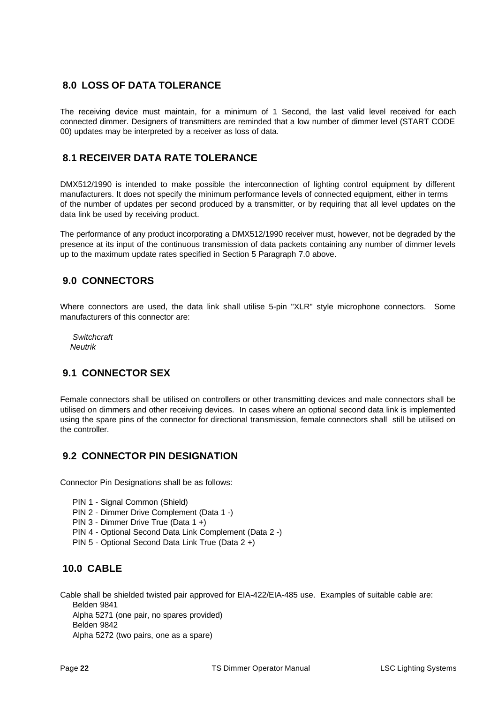# **8.0 LOSS OF DATA TOLERANCE**

The receiving device must maintain, for a minimum of 1 Second, the last valid level received for each connected dimmer. Designers of transmitters are reminded that a low number of dimmer level (START CODE 00) updates may be interpreted by a receiver as loss of data.

# **8.1 RECEIVER DATA RATE TOLERANCE**

DMX512/1990 is intended to make possible the interconnection of lighting control equipment by different manufacturers. It does not specify the minimum performance levels of connected equipment, either in terms of the number of updates per second produced by a transmitter, or by requiring that all level updates on the data link be used by receiving product.

The performance of any product incorporating a DMX512/1990 receiver must, however, not be degraded by the presence at its input of the continuous transmission of data packets containing any number of dimmer levels up to the maximum update rates specified in Section 5 Paragraph 7.0 above.

# **9.0 CONNECTORS**

Where connectors are used, the data link shall utilise 5-pin "XLR" style microphone connectors. Some manufacturers of this connector are:

 *Switchcraft Neutrik*

# **9.1 CONNECTOR SEX**

Female connectors shall be utilised on controllers or other transmitting devices and male connectors shall be utilised on dimmers and other receiving devices. In cases where an optional second data link is implemented using the spare pins of the connector for directional transmission, female connectors shall still be utilised on the controller.

# **9.2 CONNECTOR PIN DESIGNATION**

Connector Pin Designations shall be as follows:

- PIN 1 Signal Common (Shield)
- PIN 2 Dimmer Drive Complement (Data 1 -)
- PIN 3 Dimmer Drive True (Data 1 +)
- PIN 4 Optional Second Data Link Complement (Data 2 -)
- PIN 5 Optional Second Data Link True (Data 2 +)

# **10.0 CABLE**

Cable shall be shielded twisted pair approved for EIA-422/EIA-485 use. Examples of suitable cable are: Belden 9841 Alpha 5271 (one pair, no spares provided) Belden 9842 Alpha 5272 (two pairs, one as a spare)